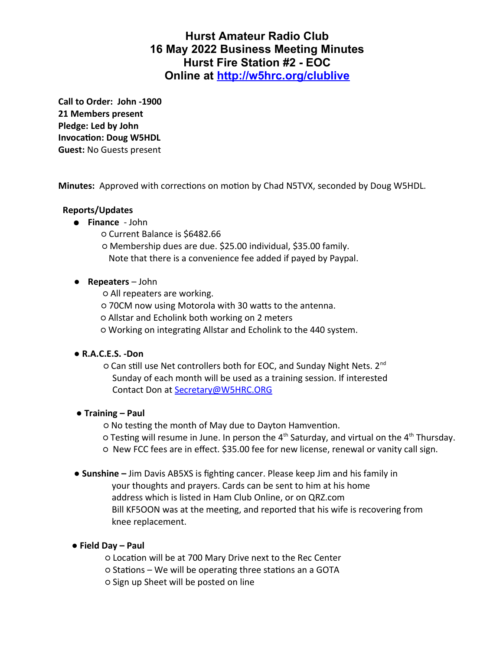# **Hurst Amateur Radio Club 16 May 2022 Business Meeting Minutes Hurst Fire Station #2 - EOC Online at<http://w5hrc.org/clublive>**

**Call to Order: John -1900 21 Members present Pledge: Led by John Invocation: Doug W5HDL Guest:** No Guests present

**Minutes:** Approved with corrections on motion by Chad N5TVX, seconded by Doug W5HDL.

### **Reports/Updates**

- **Finance** John
	- Current Balance is \$6482.66
	- Membership dues are due. \$25.00 individual, \$35.00 family. Note that there is a convenience fee added if payed by Paypal.

#### ● **Repeaters** – John

- All repeaters are working.
- 70CM now using Motorola with 30 watts to the antenna.
- Allstar and Echolink both working on 2 meters
- Working on integrating Allstar and Echolink to the 440 system.

#### ● **R.A.C.E.S. -Don**

 ○ Can still use Net controllers both for EOC, and Sunday Night Nets. 2nd Sunday of each month will be used as a training session. If interested Contact Don at [Secretary@W5HRC.ORG](mailto:Secretary@W5HRC.ORG)

#### ● **Training – Paul**

- No testing the month of May due to Dayton Hamvention.
- $\circ$  Testing will resume in June. In person the 4<sup>th</sup> Saturday, and virtual on the 4<sup>th</sup> Thursday.
- New FCC fees are in effect. \$35.00 fee for new license, renewal or vanity call sign.
- **Sunshine** Jim Davis AB5XS is fighting cancer. Please keep Jim and his family in
	- your thoughts and prayers. Cards can be sent to him at his home address which is listed in Ham Club Online, or on QRZ.com Bill KF5OON was at the meeting, and reported that his wife is recovering from knee replacement.

#### ● **Field Day – Paul**

- Location will be at 700 Mary Drive next to the Rec Center
- Stations We will be operating three stations an a GOTA
- Sign up Sheet will be posted on line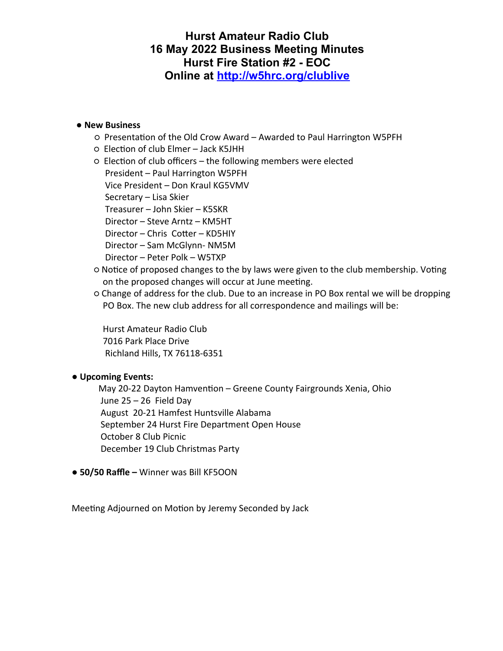# **Hurst Amateur Radio Club 16 May 2022 Business Meeting Minutes Hurst Fire Station #2 - EOC Online at<http://w5hrc.org/clublive>**

#### ● **New Business**

- Presentation of the Old Crow Award Awarded to Paul Harrington W5PFH
- Election of club Elmer Jack K5JHH
- Election of club officers the following members were elected President – Paul Harrington W5PFH

Vice President – Don Kraul KG5VMV

Secretary – Lisa Skier

Treasurer – John Skier – K5SKR

Director – Steve Arntz – KM5HT

Director – Chris Cotter – KD5HIY

Director – Sam McGlynn- NM5M

Director – Peter Polk – W5TXP

- Notice of proposed changes to the by laws were given to the club membership. Voting on the proposed changes will occur at June meeting.
- Change of address for the club. Due to an increase in PO Box rental we will be dropping PO Box. The new club address for all correspondence and mailings will be:

 Hurst Amateur Radio Club 7016 Park Place Drive Richland Hills, TX 76118-6351

#### ● **Upcoming Events:**

May 20-22 Dayton Hamvention – Greene County Fairgrounds Xenia, Ohio June 25 – 26 Field Day August 20-21 Hamfest Huntsville Alabama September 24 Hurst Fire Department Open House October 8 Club Picnic December 19 Club Christmas Party

● **50/50 Raffle –** Winner was Bill KF5OON

Meeting Adjourned on Motion by Jeremy Seconded by Jack